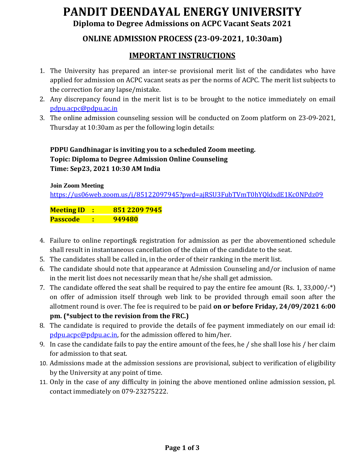# **PANDIT DEENDAYAL ENERGY UNIVERSITY Diploma to Degree Admissions on ACPC Vacant Seats 2021**

#### **ONLINE ADMISSION PROCESS (23-09-2021, 10:30am)**

#### **IMPORTANT INSTRUCTIONS**

- 1. The University has prepared an inter-se provisional merit list of the candidates who have applied for admission on ACPC vacant seats as per the norms of ACPC. The merit list subjects to the correction for any lapse/mistake.
- 2. Any discrepancy found in the merit list is to be brought to the notice immediately on email [pdpu.acpc@pdpu.ac.in](mailto:pdpu.acpc@pdpu.ac.in)
- 3. The online admission counseling session will be conducted on Zoom platform on 23-09-2021, Thursday at 10:30am as per the following login details:

#### **PDPU Gandhinagar is inviting you to a scheduled Zoom meeting. Topic: Diploma to Degree Admission Online Counseling Time: Sep23, 2021 10:30 AM India**

#### **Join Zoom Meeting**

<https://us06web.zoom.us/j/85122097945?pwd=ajRSU3FubTVmT0hYQldxdE1Kc0NPdz09>

**Meeting ID : 851 2209 7945 Passcode : 949480**

- 4. Failure to online reporting& registration for admission as per the abovementioned schedule shall result in instantaneous cancellation of the claim of the candidate to the seat.
- 5. The candidates shall be called in, in the order of their ranking in the merit list.
- 6. The candidate should note that appearance at Admission Counseling and/or inclusion of name in the merit list does not necessarily mean that he/she shall get admission.
- 7. The candidate offered the seat shall be required to pay the entire fee amount (Rs. 1, 33,000/-\*) on offer of admission itself through web link to be provided through email soon after the allotment round is over. The fee is required to be paid **on or before Friday, 24/09/2021 6:00 pm. (\*subject to the revision from the FRC.)**
- 8. The candidate is required to provide the details of fee payment immediately on our email id: [pdpu.acpc@pdpu.ac.in,](mailto:pdpu.acpc@pdpu.ac.in) for the admission offered to him/her.
- 9. In case the candidate fails to pay the entire amount of the fees, he / she shall lose his / her claim for admission to that seat.
- 10. Admissions made at the admission sessions are provisional, subject to verification of eligibility by the University at any point of time.
- 11. Only in the case of any difficulty in joining the above mentioned online admission session, pl. contact immediately on 079-23275222.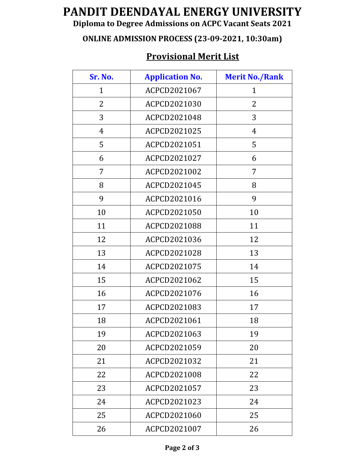# **PANDIT DEENDAYAL ENERGY UNIVERSITY**

### **Diploma to Degree Admissions on ACPC Vacant Seats 2021**

### **ONLINE ADMISSION PROCESS (23-09-2021, 10:30am)**

## **Provisional Merit List**

| Sr. No.      | <b>Application No.</b> | <b>Merit No./Rank</b> |
|--------------|------------------------|-----------------------|
| $\mathbf{1}$ | ACPCD2021067           | 1                     |
| 2            | ACPCD2021030           | 2                     |
| 3            | ACPCD2021048           | 3                     |
| 4            | ACPCD2021025           | $\overline{4}$        |
| 5            | ACPCD2021051           | 5                     |
| 6            | ACPCD2021027           | 6                     |
| 7            | ACPCD2021002           | 7                     |
| 8            | ACPCD2021045           | 8                     |
| 9            | ACPCD2021016           | 9                     |
| 10           | ACPCD2021050           | 10                    |
| 11           | ACPCD2021088           | 11                    |
| 12           | ACPCD2021036           | 12                    |
| 13           | ACPCD2021028           | 13                    |
| 14           | ACPCD2021075           | 14                    |
| 15           | ACPCD2021062           | 15                    |
| 16           | ACPCD2021076           | 16                    |
| 17           | ACPCD2021083           | 17                    |
| 18           | ACPCD2021061           | 18                    |
| 19           | ACPCD2021063           | 19                    |
| 20           | ACPCD2021059           | 20                    |
| 21           | ACPCD2021032           | 21                    |
| 22           | ACPCD2021008           | 22                    |
| 23           | ACPCD2021057           | 23                    |
| 24           | ACPCD2021023           | 24                    |
| 25           | ACPCD2021060           | 25                    |
| 26           | ACPCD2021007           | 26                    |